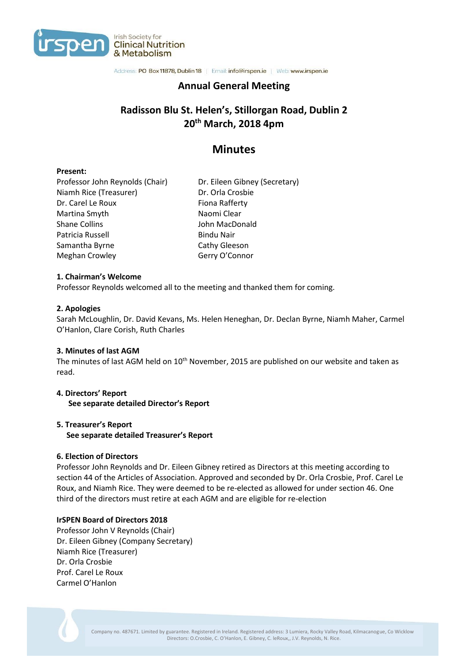

Address: PO Box 11878, Dublin 18 | Email: info@irspen.ie | Web: www.irspen.ie

# **Annual General Meeting**

# **Radisson Blu St. Helen's, Stillorgan Road, Dublin 2 20th March, 2018 4pm**

# **Minutes**

### **Present:**

Professor John Reynolds (Chair) Dr. Eileen Gibney (Secretary) Niamh Rice (Treasurer) Dr. Orla Crosbie Dr. Carel Le Roux Fiona Rafferty Martina Smyth Naomi Clear Shane Collins **John MacDonald** Patricia Russell Bindu Nair Samantha Byrne Cathy Gleeson Meghan Crowley Gerry O'Connor

### **1. Chairman's Welcome**

Professor Reynolds welcomed all to the meeting and thanked them for coming.

#### **2. Apologies**

Sarah McLoughlin, Dr. David Kevans, Ms. Helen Heneghan, Dr. Declan Byrne, Niamh Maher, Carmel O'Hanlon, Clare Corish, Ruth Charles

#### **3. Minutes of last AGM**

The minutes of last AGM held on 10<sup>th</sup> November, 2015 are published on our website and taken as read.

### **4. Directors' Report See separate detailed Director's Report**

### **5. Treasurer's Report See separate detailed Treasurer's Report**

#### **6. Election of Directors**

Professor John Reynolds and Dr. Eileen Gibney retired as Directors at this meeting according to section 44 of the Articles of Association. Approved and seconded by Dr. Orla Crosbie, Prof. Carel Le Roux, and Niamh Rice. They were deemed to be re-elected as allowed for under section 46. One third of the directors must retire at each AGM and are eligible for re-election

# **IrSPEN Board of Directors 2018**

Professor John V Reynolds (Chair) Dr. Eileen Gibney (Company Secretary) Niamh Rice (Treasurer) Dr. Orla Crosbie Prof. Carel Le Roux Carmel O'Hanlon